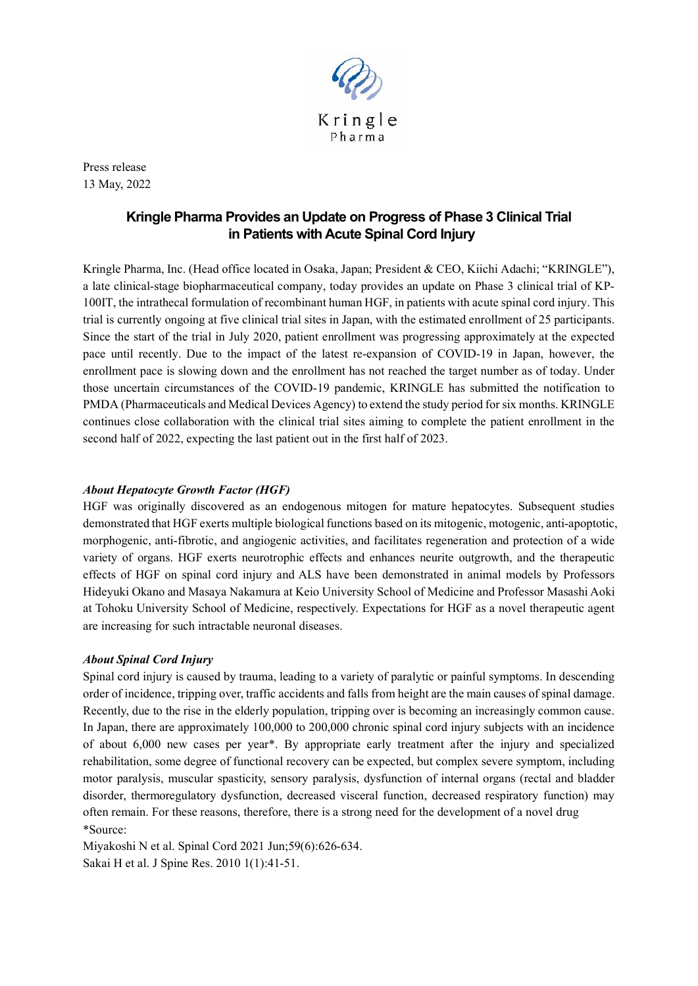

Press release 13 May, 2022

## **Kringle Pharma Provides an Update on Progress of Phase 3 Clinical Trial in Patients with Acute Spinal Cord Injury**

Kringle Pharma, Inc. (Head office located in Osaka, Japan; President & CEO, Kiichi Adachi; "KRINGLE"), a late clinical-stage biopharmaceutical company, today provides an update on Phase 3 clinical trial of KP-100IT, the intrathecal formulation of recombinant human HGF, in patients with acute spinal cord injury. This trial is currently ongoing at five clinical trial sites in Japan, with the estimated enrollment of 25 participants. Since the start of the trial in July 2020, patient enrollment was progressing approximately at the expected pace until recently. Due to the impact of the latest re-expansion of COVID-19 in Japan, however, the enrollment pace is slowing down and the enrollment has not reached the target number as of today. Under those uncertain circumstances of the COVID-19 pandemic, KRINGLE has submitted the notification to PMDA (Pharmaceuticals and Medical Devices Agency) to extend the study period for six months. KRINGLE continues close collaboration with the clinical trial sites aiming to complete the patient enrollment in the second half of 2022, expecting the last patient out in the first half of 2023.

## *About Hepatocyte Growth Factor (HGF)*

HGF was originally discovered as an endogenous mitogen for mature hepatocytes. Subsequent studies demonstrated that HGF exerts multiple biological functions based on its mitogenic, motogenic, anti-apoptotic, morphogenic, anti-fibrotic, and angiogenic activities, and facilitates regeneration and protection of a wide variety of organs. HGF exerts neurotrophic effects and enhances neurite outgrowth, and the therapeutic effects of HGF on spinal cord injury and ALS have been demonstrated in animal models by Professors Hideyuki Okano and Masaya Nakamura at Keio University School of Medicine and Professor Masashi Aoki at Tohoku University School of Medicine, respectively. Expectations for HGF as a novel therapeutic agent are increasing for such intractable neuronal diseases.

## *About Spinal Cord Injury*

Spinal cord injury is caused by trauma, leading to a variety of paralytic or painful symptoms. In descending order of incidence, tripping over, traffic accidents and falls from height are the main causes of spinal damage. Recently, due to the rise in the elderly population, tripping over is becoming an increasingly common cause. In Japan, there are approximately 100,000 to 200,000 chronic spinal cord injury subjects with an incidence of about 6,000 new cases per year\*. By appropriate early treatment after the injury and specialized rehabilitation, some degree of functional recovery can be expected, but complex severe symptom, including motor paralysis, muscular spasticity, sensory paralysis, dysfunction of internal organs (rectal and bladder disorder, thermoregulatory dysfunction, decreased visceral function, decreased respiratory function) may often remain. For these reasons, therefore, there is a strong need for the development of a novel drug \*Source:

Miyakoshi N et al. Spinal Cord 2021 Jun;59(6):626-634. Sakai H et al. J Spine Res. 2010 1(1):41-51.